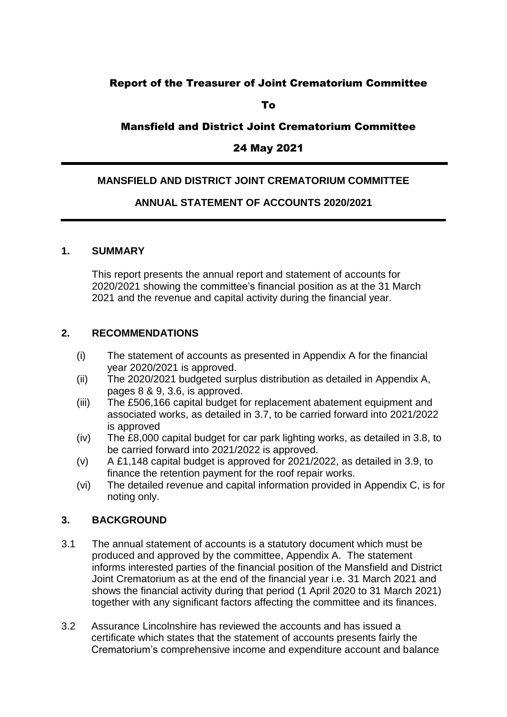# Report of the Treasurer of Joint Crematorium Committee

To

## Mansfield and District Joint Crematorium Committee

### 24 May 2021

### **MANSFIELD AND DISTRICT JOINT CREMATORIUM COMMITTEE**

### **ANNUAL STATEMENT OF ACCOUNTS 2020/2021**

#### **1. SUMMARY**

This report presents the annual report and statement of accounts for 2020/2021 showing the committee's financial position as at the 31 March 2021 and the revenue and capital activity during the financial year.

#### **2. RECOMMENDATIONS**

- (i) The statement of accounts as presented in Appendix A for the financial year 2020/2021 is approved.
- (ii) The 2020/2021 budgeted surplus distribution as detailed in Appendix A, pages 8 & 9, 3.6, is approved.
- (iii) The £506,166 capital budget for replacement abatement equipment and associated works, as detailed in 3.7, to be carried forward into 2021/2022 is approved
- (iv) The £8,000 capital budget for car park lighting works, as detailed in 3.8, to be carried forward into 2021/2022 is approved.
- (v) A £1,148 capital budget is approved for 2021/2022, as detailed in 3.9, to finance the retention payment for the roof repair works.
- (vi) The detailed revenue and capital information provided in Appendix C, is for noting only.

### **3. BACKGROUND**

- 3.1 The annual statement of accounts is a statutory document which must be produced and approved by the committee, Appendix A. The statement informs interested parties of the financial position of the Mansfield and District Joint Crematorium as at the end of the financial year i.e. 31 March 2021 and shows the financial activity during that period (1 April 2020 to 31 March 2021) together with any significant factors affecting the committee and its finances.
- 3.2 Assurance Lincolnshire has reviewed the accounts and has issued a certificate which states that the statement of accounts presents fairly the Crematorium's comprehensive income and expenditure account and balance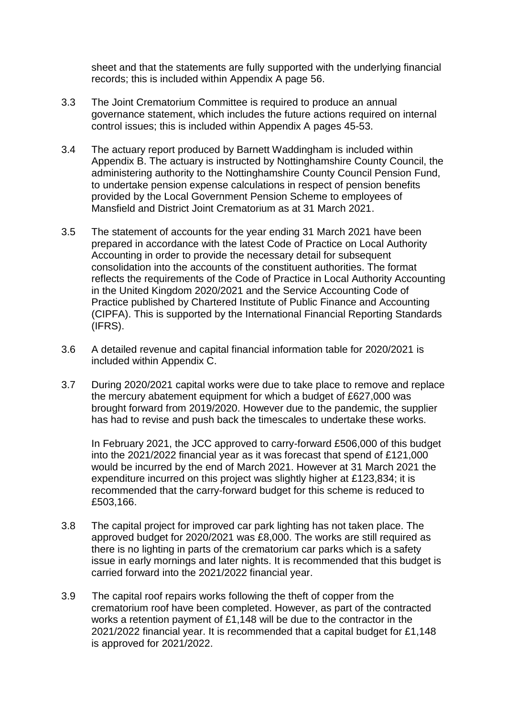sheet and that the statements are fully supported with the underlying financial records; this is included within Appendix A page 56.

- 3.3 The Joint Crematorium Committee is required to produce an annual governance statement, which includes the future actions required on internal control issues; this is included within Appendix A pages 45-53.
- 3.4 The actuary report produced by Barnett Waddingham is included within Appendix B. The actuary is instructed by Nottinghamshire County Council, the administering authority to the Nottinghamshire County Council Pension Fund, to undertake pension expense calculations in respect of pension benefits provided by the Local Government Pension Scheme to employees of Mansfield and District Joint Crematorium as at 31 March 2021.
- 3.5 The statement of accounts for the year ending 31 March 2021 have been prepared in accordance with the latest Code of Practice on Local Authority Accounting in order to provide the necessary detail for subsequent consolidation into the accounts of the constituent authorities. The format reflects the requirements of the Code of Practice in Local Authority Accounting in the United Kingdom 2020/2021 and the Service Accounting Code of Practice published by Chartered Institute of Public Finance and Accounting (CIPFA). This is supported by the International Financial Reporting Standards (IFRS).
- 3.6 A detailed revenue and capital financial information table for 2020/2021 is included within Appendix C.
- 3.7 During 2020/2021 capital works were due to take place to remove and replace the mercury abatement equipment for which a budget of £627,000 was brought forward from 2019/2020. However due to the pandemic, the supplier has had to revise and push back the timescales to undertake these works.

In February 2021, the JCC approved to carry-forward £506,000 of this budget into the 2021/2022 financial year as it was forecast that spend of £121,000 would be incurred by the end of March 2021. However at 31 March 2021 the expenditure incurred on this project was slightly higher at £123,834; it is recommended that the carry-forward budget for this scheme is reduced to £503,166.

- 3.8 The capital project for improved car park lighting has not taken place. The approved budget for 2020/2021 was £8,000. The works are still required as there is no lighting in parts of the crematorium car parks which is a safety issue in early mornings and later nights. It is recommended that this budget is carried forward into the 2021/2022 financial year.
- 3.9 The capital roof repairs works following the theft of copper from the crematorium roof have been completed. However, as part of the contracted works a retention payment of £1,148 will be due to the contractor in the 2021/2022 financial year. It is recommended that a capital budget for £1,148 is approved for 2021/2022.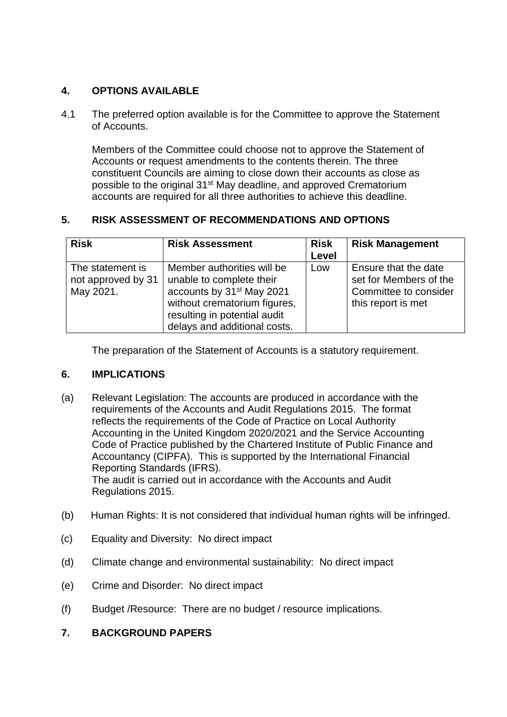# **4. OPTIONS AVAILABLE**

4.1 The preferred option available is for the Committee to approve the Statement of Accounts.

Members of the Committee could choose not to approve the Statement of Accounts or request amendments to the contents therein. The three constituent Councils are aiming to close down their accounts as close as possible to the original 31<sup>st</sup> May deadline, and approved Crematorium accounts are required for all three authorities to achieve this deadline.

# **5. RISK ASSESSMENT OF RECOMMENDATIONS AND OPTIONS**

| <b>Risk</b>                                         | <b>Risk Assessment</b>                                                                                                                                                                          | <b>Risk</b><br>Level | <b>Risk Management</b>                                                                        |
|-----------------------------------------------------|-------------------------------------------------------------------------------------------------------------------------------------------------------------------------------------------------|----------------------|-----------------------------------------------------------------------------------------------|
| The statement is<br>not approved by 31<br>May 2021. | Member authorities will be<br>unable to complete their<br>accounts by 31 <sup>st</sup> May 2021<br>without crematorium figures,<br>resulting in potential audit<br>delays and additional costs. | Low                  | Ensure that the date<br>set for Members of the<br>Committee to consider<br>this report is met |

The preparation of the Statement of Accounts is a statutory requirement.

## **6. IMPLICATIONS**

- (a) Relevant Legislation: The accounts are produced in accordance with the requirements of the Accounts and Audit Regulations 2015. The format reflects the requirements of the Code of Practice on Local Authority Accounting in the United Kingdom 2020/2021 and the Service Accounting Code of Practice published by the Chartered Institute of Public Finance and Accountancy (CIPFA). This is supported by the International Financial Reporting Standards (IFRS). The audit is carried out in accordance with the Accounts and Audit Regulations 2015.
- (b) Human Rights: It is not considered that individual human rights will be infringed.
- (c) Equality and Diversity: No direct impact
- (d) Climate change and environmental sustainability: No direct impact
- (e) Crime and Disorder: No direct impact
- (f) Budget /Resource: There are no budget / resource implications.

## **7. BACKGROUND PAPERS**